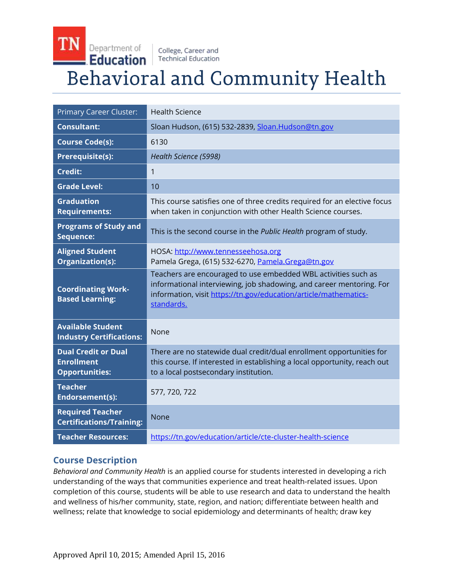#### TN Department of College, Career and Education **Technical Education Behavioral and Community Health**

| <b>Primary Career Cluster:</b>                                           | <b>Health Science</b>                                                                                                                                                                                                    |
|--------------------------------------------------------------------------|--------------------------------------------------------------------------------------------------------------------------------------------------------------------------------------------------------------------------|
| <b>Consultant:</b>                                                       | Sloan Hudson, (615) 532-2839, Sloan.Hudson@tn.gov                                                                                                                                                                        |
| <b>Course Code(s):</b>                                                   | 6130                                                                                                                                                                                                                     |
| <b>Prerequisite(s):</b>                                                  | Health Science (5998)                                                                                                                                                                                                    |
| Credit:                                                                  | 1                                                                                                                                                                                                                        |
| <b>Grade Level:</b>                                                      | 10                                                                                                                                                                                                                       |
| <b>Graduation</b><br><b>Requirements:</b>                                | This course satisfies one of three credits required for an elective focus<br>when taken in conjunction with other Health Science courses.                                                                                |
| <b>Programs of Study and</b><br>Sequence:                                | This is the second course in the Public Health program of study.                                                                                                                                                         |
| <b>Aligned Student</b><br>Organization(s):                               | HOSA: http://www.tennesseehosa.org<br>Pamela Grega, (615) 532-6270, Pamela.Grega@tn.gov                                                                                                                                  |
| <b>Coordinating Work-</b><br><b>Based Learning:</b>                      | Teachers are encouraged to use embedded WBL activities such as<br>informational interviewing, job shadowing, and career mentoring. For<br>information, visit https://tn.gov/education/article/mathematics-<br>standards. |
| <b>Available Student</b><br><b>Industry Certifications:</b>              | None                                                                                                                                                                                                                     |
| <b>Dual Credit or Dual</b><br><b>Enrollment</b><br><b>Opportunities:</b> | There are no statewide dual credit/dual enrollment opportunities for<br>this course. If interested in establishing a local opportunity, reach out<br>to a local postsecondary institution.                               |
| <b>Teacher</b><br>Endorsement(s):                                        | 577, 720, 722                                                                                                                                                                                                            |
| <b>Required Teacher</b><br><b>Certifications/Training:</b>               | <b>None</b>                                                                                                                                                                                                              |
| <b>Teacher Resources:</b>                                                | https://tn.gov/education/article/cte-cluster-health-science                                                                                                                                                              |

## **Course Description**

*Behavioral and Community Health* is an applied course for students interested in developing a rich understanding of the ways that communities experience and treat health-related issues. Upon completion of this course, students will be able to use research and data to understand the health and wellness of his/her community, state, region, and nation; differentiate between health and wellness; relate that knowledge to social epidemiology and determinants of health; draw key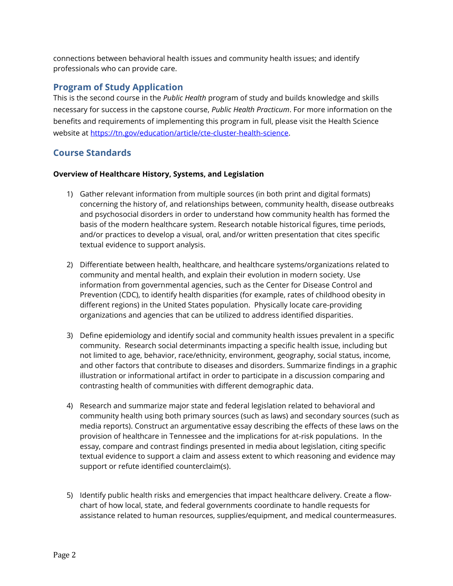connections between behavioral health issues and community health issues; and identify professionals who can provide care.

## **Program of Study Application**

This is the second course in the *Public Health* program of study and builds knowledge and skills necessary for success in the capstone course, *Public Health Practicum*. For more information on the benefits and requirements of implementing this program in full, please visit the Health Science website at [https://tn.gov/education/article/cte-cluster-health-science.](https://tn.gov/education/article/cte-cluster-health-science)

# **Course Standards**

### **Overview of Healthcare History, Systems, and Legislation**

- 1) Gather relevant information from multiple sources (in both print and digital formats) concerning the history of, and relationships between, community health, disease outbreaks and psychosocial disorders in order to understand how community health has formed the basis of the modern healthcare system. Research notable historical figures, time periods, and/or practices to develop a visual, oral, and/or written presentation that cites specific textual evidence to support analysis.
- 2) Differentiate between health, healthcare, and healthcare systems/organizations related to community and mental health, and explain their evolution in modern society. Use information from governmental agencies, such as the Center for Disease Control and Prevention (CDC), to identify health disparities (for example, rates of childhood obesity in different regions) in the United States population. Physically locate care-providing organizations and agencies that can be utilized to address identified disparities.
- 3) Define epidemiology and identify social and community health issues prevalent in a specific community. Research social determinants impacting a specific health issue, including but not limited to age, behavior, race/ethnicity, environment, geography, social status, income, and other factors that contribute to diseases and disorders. Summarize findings in a graphic illustration or informational artifact in order to participate in a discussion comparing and contrasting health of communities with different demographic data.
- 4) Research and summarize major state and federal legislation related to behavioral and community health using both primary sources (such as laws) and secondary sources (such as media reports). Construct an argumentative essay describing the effects of these laws on the provision of healthcare in Tennessee and the implications for at-risk populations. In the essay, compare and contrast findings presented in media about legislation, citing specific textual evidence to support a claim and assess extent to which reasoning and evidence may support or refute identified counterclaim(s).
- 5) Identify public health risks and emergencies that impact healthcare delivery. Create a flowchart of how local, state, and federal governments coordinate to handle requests for assistance related to human resources, supplies/equipment, and medical countermeasures.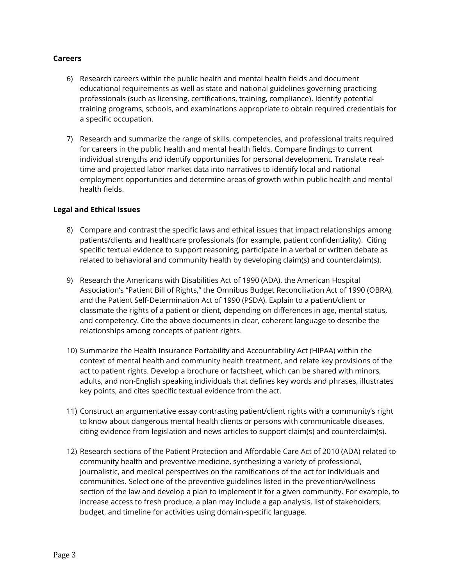#### **Careers**

- 6) Research careers within the public health and mental health fields and document educational requirements as well as state and national guidelines governing practicing professionals (such as licensing, certifications, training, compliance). Identify potential training programs, schools, and examinations appropriate to obtain required credentials for a specific occupation.
- 7) Research and summarize the range of skills, competencies, and professional traits required for careers in the public health and mental health fields. Compare findings to current individual strengths and identify opportunities for personal development. Translate realtime and projected labor market data into narratives to identify local and national employment opportunities and determine areas of growth within public health and mental health fields.

#### **Legal and Ethical Issues**

- 8) Compare and contrast the specific laws and ethical issues that impact relationships among patients/clients and healthcare professionals (for example, patient confidentiality). Citing specific textual evidence to support reasoning, participate in a verbal or written debate as related to behavioral and community health by developing claim(s) and counterclaim(s).
- 9) Research the Americans with Disabilities Act of 1990 (ADA), the American Hospital Association's "Patient Bill of Rights," the Omnibus Budget Reconciliation Act of 1990 (OBRA), and the Patient Self-Determination Act of 1990 (PSDA). Explain to a patient/client or classmate the rights of a patient or client, depending on differences in age, mental status, and competency. Cite the above documents in clear, coherent language to describe the relationships among concepts of patient rights.
- 10) Summarize the Health Insurance Portability and Accountability Act (HIPAA) within the context of mental health and community health treatment, and relate key provisions of the act to patient rights. Develop a brochure or factsheet, which can be shared with minors, adults, and non-English speaking individuals that defines key words and phrases, illustrates key points, and cites specific textual evidence from the act.
- 11) Construct an argumentative essay contrasting patient/client rights with a community's right to know about dangerous mental health clients or persons with communicable diseases, citing evidence from legislation and news articles to support claim(s) and counterclaim(s).
- 12) Research sections of the Patient Protection and Affordable Care Act of 2010 (ADA) related to community health and preventive medicine, synthesizing a variety of professional, journalistic, and medical perspectives on the ramifications of the act for individuals and communities. Select one of the preventive guidelines listed in the prevention/wellness section of the law and develop a plan to implement it for a given community. For example, to increase access to fresh produce, a plan may include a gap analysis, list of stakeholders, budget, and timeline for activities using domain-specific language.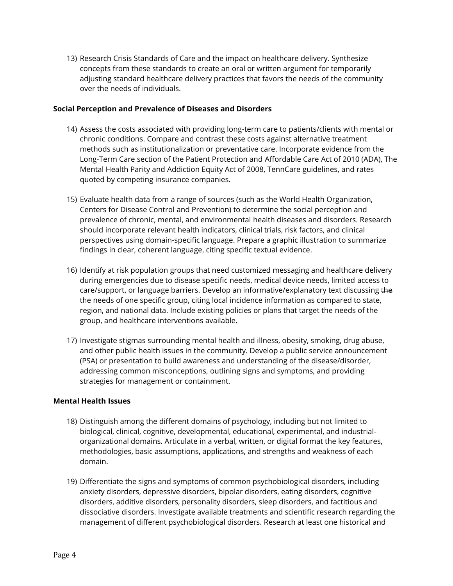13) Research Crisis Standards of Care and the impact on healthcare delivery. Synthesize concepts from these standards to create an oral or written argument for temporarily adjusting standard healthcare delivery practices that favors the needs of the community over the needs of individuals.

#### **Social Perception and Prevalence of Diseases and Disorders**

- 14) Assess the costs associated with providing long-term care to patients/clients with mental or chronic conditions. Compare and contrast these costs against alternative treatment methods such as institutionalization or preventative care. Incorporate evidence from the Long-Term Care section of the Patient Protection and Affordable Care Act of 2010 (ADA), The Mental Health Parity and Addiction Equity Act of 2008, TennCare guidelines, and rates quoted by competing insurance companies.
- 15) Evaluate health data from a range of sources (such as the World Health Organization, Centers for Disease Control and Prevention) to determine the social perception and prevalence of chronic, mental, and environmental health diseases and disorders. Research should incorporate relevant health indicators, clinical trials, risk factors, and clinical perspectives using domain-specific language. Prepare a graphic illustration to summarize findings in clear, coherent language, citing specific textual evidence.
- 16) Identify at risk population groups that need customized messaging and healthcare delivery during emergencies due to disease specific needs, medical device needs, limited access to care/support, or language barriers. Develop an informative/explanatory text discussing the the needs of one specific group, citing local incidence information as compared to state, region, and national data. Include existing policies or plans that target the needs of the group, and healthcare interventions available.
- 17) Investigate stigmas surrounding mental health and illness, obesity, smoking, drug abuse, and other public health issues in the community. Develop a public service announcement (PSA) or presentation to build awareness and understanding of the disease/disorder, addressing common misconceptions, outlining signs and symptoms, and providing strategies for management or containment.

## **Mental Health Issues**

- 18) Distinguish among the different domains of psychology, including but not limited to biological, clinical, cognitive, developmental, educational, experimental, and industrialorganizational domains. Articulate in a verbal, written, or digital format the key features, methodologies, basic assumptions, applications, and strengths and weakness of each domain.
- 19) Differentiate the signs and symptoms of common psychobiological disorders, including anxiety disorders, depressive disorders, bipolar disorders, eating disorders, cognitive disorders, additive disorders, personality disorders, sleep disorders, and factitious and dissociative disorders. Investigate available treatments and scientific research regarding the management of different psychobiological disorders. Research at least one historical and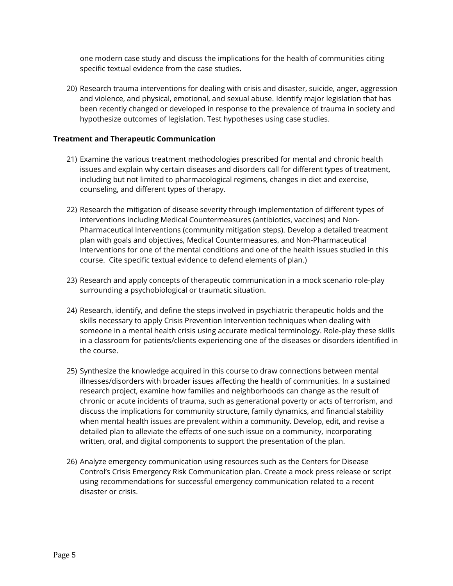one modern case study and discuss the implications for the health of communities citing specific textual evidence from the case studies.

20) Research trauma interventions for dealing with crisis and disaster, suicide, anger, aggression and violence, and physical, emotional, and sexual abuse. Identify major legislation that has been recently changed or developed in response to the prevalence of trauma in society and hypothesize outcomes of legislation. Test hypotheses using case studies.

#### **Treatment and Therapeutic Communication**

- 21) Examine the various treatment methodologies prescribed for mental and chronic health issues and explain why certain diseases and disorders call for different types of treatment, including but not limited to pharmacological regimens, changes in diet and exercise, counseling, and different types of therapy.
- 22) Research the mitigation of disease severity through implementation of different types of interventions including Medical Countermeasures (antibiotics, vaccines) and Non-Pharmaceutical Interventions (community mitigation steps). Develop a detailed treatment plan with goals and objectives, Medical Countermeasures, and Non-Pharmaceutical Interventions for one of the mental conditions and one of the health issues studied in this course. Cite specific textual evidence to defend elements of plan.)
- 23) Research and apply concepts of therapeutic communication in a mock scenario role-play surrounding a psychobiological or traumatic situation.
- 24) Research, identify, and define the steps involved in psychiatric therapeutic holds and the skills necessary to apply Crisis Prevention Intervention techniques when dealing with someone in a mental health crisis using accurate medical terminology. Role-play these skills in a classroom for patients/clients experiencing one of the diseases or disorders identified in the course.
- 25) Synthesize the knowledge acquired in this course to draw connections between mental illnesses/disorders with broader issues affecting the health of communities. In a sustained research project, examine how families and neighborhoods can change as the result of chronic or acute incidents of trauma, such as generational poverty or acts of terrorism, and discuss the implications for community structure, family dynamics, and financial stability when mental health issues are prevalent within a community. Develop, edit, and revise a detailed plan to alleviate the effects of one such issue on a community, incorporating written, oral, and digital components to support the presentation of the plan.
- 26) Analyze emergency communication using resources such as the Centers for Disease Control's Crisis Emergency Risk Communication plan. Create a mock press release or script using recommendations for successful emergency communication related to a recent disaster or crisis.